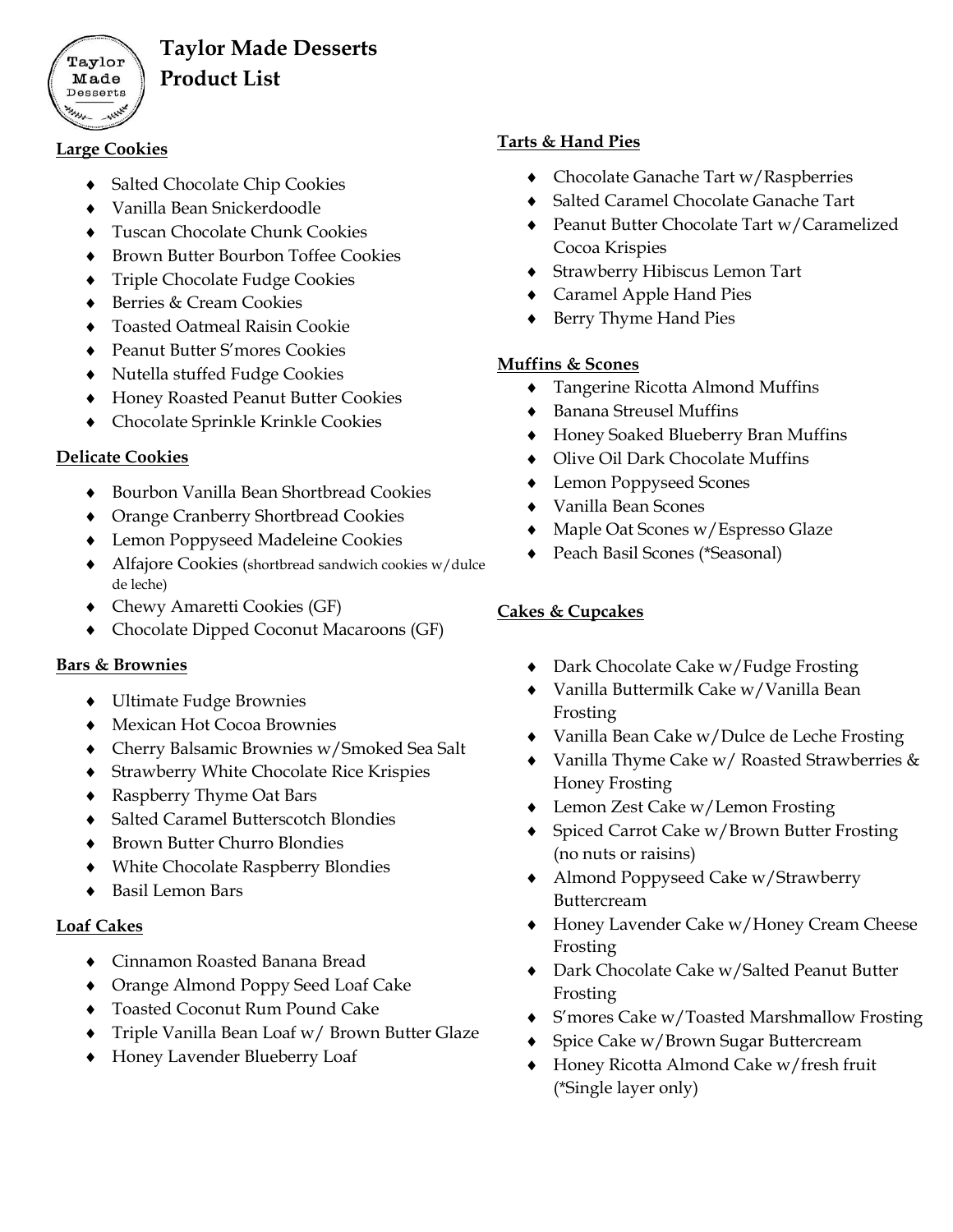

## **Taylor Made Desserts Product List**

#### **Large Cookies**

- ◆ Salted Chocolate Chip Cookies
- Vanilla Bean Snickerdoodle
- Tuscan Chocolate Chunk Cookies
- ◆ Brown Butter Bourbon Toffee Cookies
- **Triple Chocolate Fudge Cookies**
- ◆ Berries & Cream Cookies
- Toasted Oatmeal Raisin Cookie
- Peanut Butter S'mores Cookies
- Nutella stuffed Fudge Cookies
- Honey Roasted Peanut Butter Cookies
- Chocolate Sprinkle Krinkle Cookies

### **Delicate Cookies**

- ◆ Bourbon Vanilla Bean Shortbread Cookies
- Orange Cranberry Shortbread Cookies
- Lemon Poppyseed Madeleine Cookies
- Alfajore Cookies (shortbread sandwich cookies w/dulce de leche)
- Chewy Amaretti Cookies (GF)
- Chocolate Dipped Coconut Macaroons (GF)

#### **Bars & Brownies**

- Ultimate Fudge Brownies
- Mexican Hot Cocoa Brownies
- Cherry Balsamic Brownies w/Smoked Sea Salt
- Strawberry White Chocolate Rice Krispies
- Raspberry Thyme Oat Bars
- ◆ Salted Caramel Butterscotch Blondies
- Brown Butter Churro Blondies
- White Chocolate Raspberry Blondies
- Basil Lemon Bars

#### **Loaf Cakes**

- Cinnamon Roasted Banana Bread
- Orange Almond Poppy Seed Loaf Cake
- Toasted Coconut Rum Pound Cake
- Triple Vanilla Bean Loaf w/ Brown Butter Glaze
- Honey Lavender Blueberry Loaf

### **Tarts & Hand Pies**

- ◆ Chocolate Ganache Tart w/Raspberries
- ◆ Salted Caramel Chocolate Ganache Tart
- ◆ Peanut Butter Chocolate Tart w/Caramelized Cocoa Krispies
- Strawberry Hibiscus Lemon Tart
- Caramel Apple Hand Pies
- Berry Thyme Hand Pies

### **Muffins & Scones**

- Tangerine Ricotta Almond Muffins
- Banana Streusel Muffins
- Honey Soaked Blueberry Bran Muffins
- Olive Oil Dark Chocolate Muffins
- Lemon Poppyseed Scones
- Vanilla Bean Scones
- Maple Oat Scones w/Espresso Glaze
- Peach Basil Scones (\*Seasonal)

### **Cakes & Cupcakes**

- ◆ Dark Chocolate Cake w/Fudge Frosting
- Vanilla Buttermilk Cake w/Vanilla Bean Frosting
- Vanilla Bean Cake w/Dulce de Leche Frosting
- Vanilla Thyme Cake w/ Roasted Strawberries & Honey Frosting
- ◆ Lemon Zest Cake w/Lemon Frosting
- ◆ Spiced Carrot Cake w/Brown Butter Frosting (no nuts or raisins)
- Almond Poppyseed Cake w/Strawberry Buttercream
- Honey Lavender Cake w/Honey Cream Cheese Frosting
- Dark Chocolate Cake w/Salted Peanut Butter Frosting
- S'mores Cake w/Toasted Marshmallow Frosting
- ◆ Spice Cake w/Brown Sugar Buttercream
- Honey Ricotta Almond Cake w/fresh fruit (\*Single layer only)